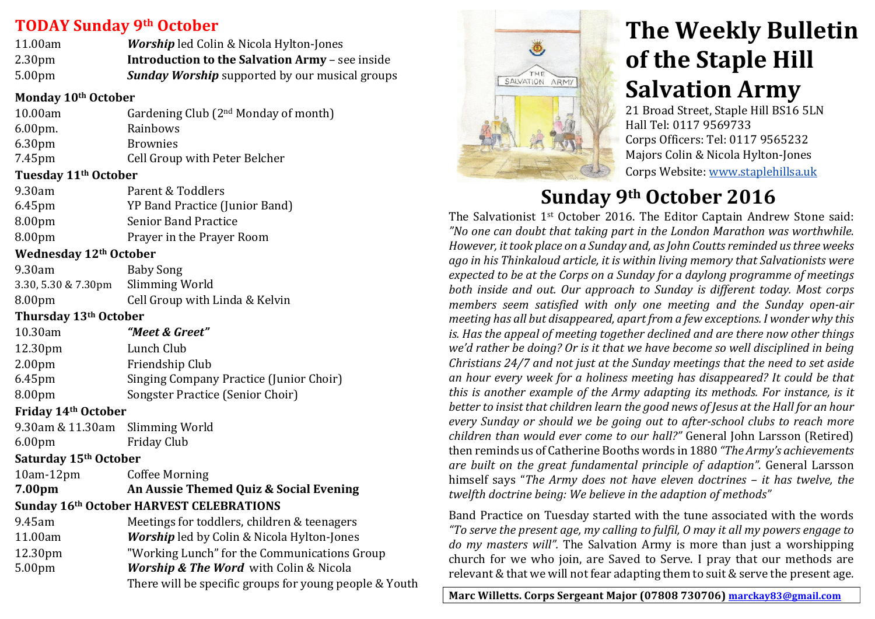# **TODAY Sunday&9th October**

| 11.00am            | <b>Worship</b> led Colin & Nicola Hylton-Jones         |
|--------------------|--------------------------------------------------------|
| 2.30 <sub>pm</sub> | <b>Introduction to the Salvation Army - see inside</b> |
| 5.00 <sub>pm</sub> | <b>Sunday Worship</b> supported by our musical groups  |

#### **Monday&10th October**

| 10.00am            | Gardening Club (2 <sup>nd</sup> Monday of month) |
|--------------------|--------------------------------------------------|
| $6.00pm$ .         | Rainbows                                         |
| 6.30 <sub>pm</sub> | <b>Brownies</b>                                  |
| 7.45pm             | Cell Group with Peter Belcher                    |

### **Tuesday&11th October**

| 9.30am    | Parent & Toddlers              |
|-----------|--------------------------------|
| $6.45$ pm | YP Band Practice (Junior Band) |
| 8.00pm    | <b>Senior Band Practice</b>    |
| 8.00pm    | Prayer in the Prayer Room      |

### **Wednesday&12th October**

| 9.30am                             | <b>Baby Song</b>               |
|------------------------------------|--------------------------------|
| 3.30, 5.30 & 7.30pm Slimming World |                                |
| 8.00 <sub>pm</sub>                 | Cell Group with Linda & Kelvin |

### **Thursday&13th October**

| 10.30am            | "Meet & Greet"                          |
|--------------------|-----------------------------------------|
| 12.30pm            | Lunch Club                              |
| 2.00 <sub>pm</sub> | Friendship Club                         |
| $6.45$ pm          | Singing Company Practice (Junior Choir) |
| 8.00pm             | Songster Practice (Senior Choir)        |
|                    |                                         |

### **Friday&14th October**

9.30am & 11.30am Slimming World 6.00pm Friday&Club

### **Saturday&15th October**

10am-12pm Coffee Morning **7.00pm An Aussie Themed Quiz & Social Evening Sunday&16th October HARVEST CELEBRATIONS**

| 9.45am              | Meetings for toddlers, children & teenagers            |
|---------------------|--------------------------------------------------------|
| 11.00am             | <b>Worship</b> led by Colin & Nicola Hylton-Jones      |
| 12.30 <sub>pm</sub> | "Working Lunch" for the Communications Group           |
| 5.00 <sub>pm</sub>  | <b>Worship &amp; The Word</b> with Colin & Nicola      |
|                     | There will be specific groups for young people & Youth |
|                     |                                                        |



# **The Weekly Bulletin of the Staple Hill Salvation Army**

21 Broad Street, Staple Hill BS16 5LN Hall Tel: 0117 9569733 Corps Officers: Tel: 0117 9565232 Majors Colin & Nicola Hylton-Jones Corps Website: www.staplehillsa.uk

# Sunday 9<sup>th</sup> October 2016

The Salvationist  $1<sup>st</sup>$  October 2016. The Editor Captain Andrew Stone said: "No one can doubt that taking part in the London Marathon was worthwhile. *However, it took place on a Sunday and, as John Coutts reminded us three weeks* ago in his Thinkaloud article, it is within living memory that Salvationists were expected to be at the Corps on a Sunday for a daylong programme of meetings *both\$ inside\$ and\$ out.\$Our\$ approach\$ to\$ Sunday\$ is\$ different\$ today.\$ Most\$ corps\$ members seem satisfied with only one meeting and the Sunday open-air meeting has all but disappeared, apart from a few exceptions. I wonder why this is. Has the appeal of meeting together declined and are there now other things* we'd rather be doing? Or is it that we have become so well disciplined in being *Christians 24/7 and not just at the Sunday meetings that the need to set aside* an hour every week for a holiness meeting has disappeared? It could be that *this is another example of the Army adapting its methods. For instance, is it* better to insist that children learn the good news of Jesus at the Hall for an hour *every Sunday or should we be going out to after-school clubs to reach more children than would ever come to our hall?"* General John Larsson (Retired) then reminds us of Catherine Booths words in 1880 *"The Army's achievements* are built on the great fundamental principle of adaption". General Larsson himself says "*The Army does not have eleven doctrines – it has twelve, the* twelfth doctrine being: We believe in the adaption of methods"

Band Practice on Tuesday started with the tune associated with the words *"To\$serve\$the\$present\$age,\$my\$calling\$to\$fulfil,\$O\$may\$it\$all\$my\$powers\$engage\$to\$ do my masters will".* The Salvation Army is more than just a worshipping church for we who join, are Saved to Serve. I pray that our methods are relevant & that we will not fear adapting them to suit & serve the present age.

Marc Willetts. Corps Sergeant Major (07808 730706) marckay83@gmail.com